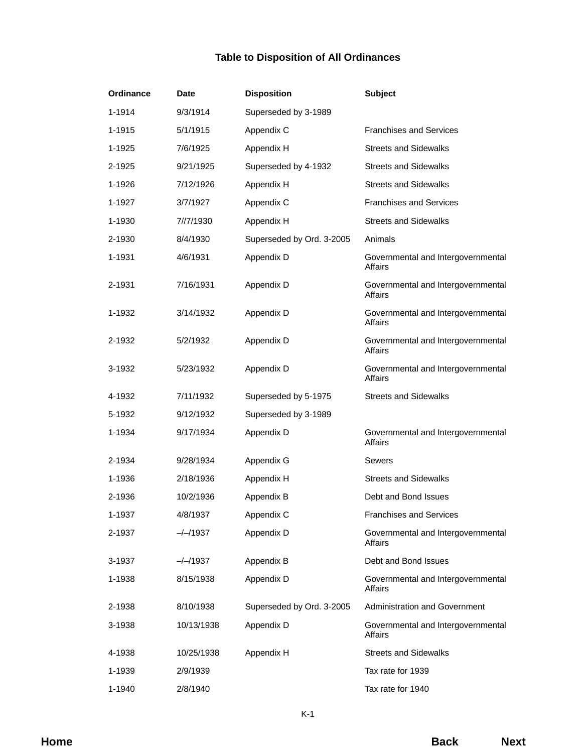## **Table to Disposition of All Ordinances**

| Ordinance | Date       | <b>Disposition</b>        | <b>Subject</b>                                       |  |
|-----------|------------|---------------------------|------------------------------------------------------|--|
| 1-1914    | 9/3/1914   | Superseded by 3-1989      |                                                      |  |
| 1-1915    | 5/1/1915   | Appendix C                | <b>Franchises and Services</b>                       |  |
| 1-1925    | 7/6/1925   | Appendix H                | <b>Streets and Sidewalks</b>                         |  |
| 2-1925    | 9/21/1925  | Superseded by 4-1932      | <b>Streets and Sidewalks</b>                         |  |
| 1-1926    | 7/12/1926  | Appendix H                | <b>Streets and Sidewalks</b>                         |  |
| 1-1927    | 3/7/1927   | Appendix C                | <b>Franchises and Services</b>                       |  |
| 1-1930    | 7//7/1930  | Appendix H                | <b>Streets and Sidewalks</b>                         |  |
| 2-1930    | 8/4/1930   | Superseded by Ord. 3-2005 | Animals                                              |  |
| 1-1931    | 4/6/1931   | Appendix D                | Governmental and Intergovernmental<br>Affairs        |  |
| 2-1931    | 7/16/1931  | Appendix D                | Governmental and Intergovernmental<br><b>Affairs</b> |  |
| 1-1932    | 3/14/1932  | Appendix D                | Governmental and Intergovernmental<br><b>Affairs</b> |  |
| 2-1932    | 5/2/1932   | Appendix D                | Governmental and Intergovernmental<br><b>Affairs</b> |  |
| 3-1932    | 5/23/1932  | Appendix D                | Governmental and Intergovernmental<br><b>Affairs</b> |  |
| 4-1932    | 7/11/1932  | Superseded by 5-1975      | <b>Streets and Sidewalks</b>                         |  |
| 5-1932    | 9/12/1932  | Superseded by 3-1989      |                                                      |  |
| 1-1934    | 9/17/1934  | Appendix D                | Governmental and Intergovernmental<br><b>Affairs</b> |  |
| 2-1934    | 9/28/1934  | Appendix G                | Sewers                                               |  |
| 1-1936    | 2/18/1936  | Appendix H                | <b>Streets and Sidewalks</b>                         |  |
| 2-1936    | 10/2/1936  | Appendix B                | Debt and Bond Issues                                 |  |
| 1-1937    | 4/8/1937   | Appendix C                | <b>Franchises and Services</b>                       |  |
| 2-1937    | $-/-/1937$ | Appendix D                | Governmental and Intergovernmental<br><b>Affairs</b> |  |
| 3-1937    | $-/-/1937$ | Appendix B                | Debt and Bond Issues                                 |  |
| 1-1938    | 8/15/1938  | Appendix D                | Governmental and Intergovernmental<br><b>Affairs</b> |  |
| 2-1938    | 8/10/1938  | Superseded by Ord. 3-2005 | <b>Administration and Government</b>                 |  |
| 3-1938    | 10/13/1938 | Appendix D                | Governmental and Intergovernmental<br><b>Affairs</b> |  |
| 4-1938    | 10/25/1938 | Appendix H                | <b>Streets and Sidewalks</b>                         |  |
| 1-1939    | 2/9/1939   |                           | Tax rate for 1939                                    |  |
| 1-1940    | 2/8/1940   |                           | Tax rate for 1940                                    |  |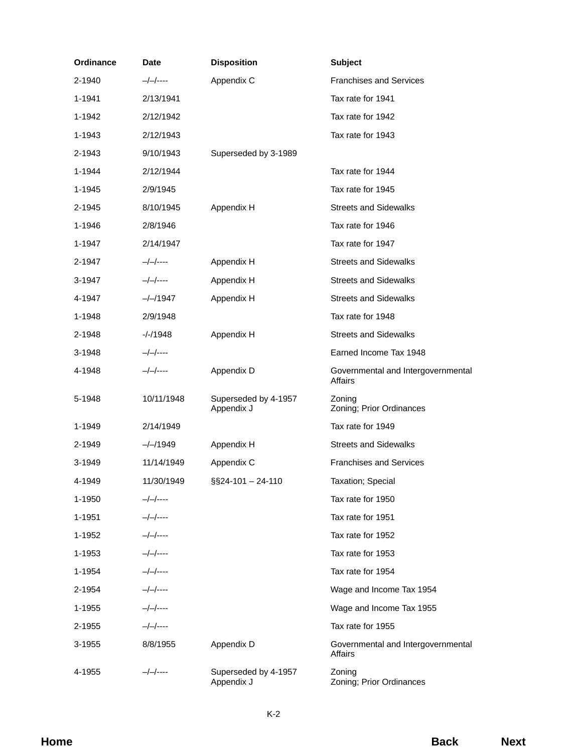| Ordinance | Date         | <b>Disposition</b>                 | <b>Subject</b>                                |
|-----------|--------------|------------------------------------|-----------------------------------------------|
| 2-1940    | —/—/----     | Appendix C                         | <b>Franchises and Services</b>                |
| 1-1941    | 2/13/1941    |                                    | Tax rate for 1941                             |
| 1-1942    | 2/12/1942    |                                    | Tax rate for 1942                             |
| 1-1943    | 2/12/1943    |                                    | Tax rate for 1943                             |
| 2-1943    | 9/10/1943    | Superseded by 3-1989               |                                               |
| 1-1944    | 2/12/1944    |                                    | Tax rate for 1944                             |
| 1-1945    | 2/9/1945     |                                    | Tax rate for 1945                             |
| 2-1945    | 8/10/1945    | Appendix H                         | <b>Streets and Sidewalks</b>                  |
| 1-1946    | 2/8/1946     |                                    | Tax rate for 1946                             |
| 1-1947    | 2/14/1947    |                                    | Tax rate for 1947                             |
| 2-1947    | $-/-/----$   | Appendix H                         | <b>Streets and Sidewalks</b>                  |
| 3-1947    | $-/-/-$ ---- | Appendix H                         | <b>Streets and Sidewalks</b>                  |
| 4-1947    | $-/-/1947$   | Appendix H                         | <b>Streets and Sidewalks</b>                  |
| 1-1948    | 2/9/1948     |                                    | Tax rate for 1948                             |
| 2-1948    | $-/-/1948$   | Appendix H                         | <b>Streets and Sidewalks</b>                  |
| 3-1948    | $-/-/----$   |                                    | Earned Income Tax 1948                        |
| 4-1948    | $-/-/----$   | Appendix D                         | Governmental and Intergovernmental<br>Affairs |
| 5-1948    | 10/11/1948   | Superseded by 4-1957<br>Appendix J | Zoning<br>Zoning; Prior Ordinances            |
| 1-1949    | 2/14/1949    |                                    | Tax rate for 1949                             |
| 2-1949    | $-/-/1949$   | Appendix H                         | <b>Streets and Sidewalks</b>                  |
| 3-1949    | 11/14/1949   | Appendix C                         | <b>Franchises and Services</b>                |
| 4-1949    | 11/30/1949   | §§24-101 - 24-110                  | Taxation; Special                             |
| 1-1950    | —/—/----     |                                    | Tax rate for 1950                             |
| 1-1951    | $-/-/-$      |                                    | Tax rate for 1951                             |
| 1-1952    | $-/-/-$      |                                    | Tax rate for 1952                             |
| 1-1953    | $-/-/-$      |                                    | Tax rate for 1953                             |
| 1-1954    | $-/-/-$      |                                    | Tax rate for 1954                             |
| 2-1954    | $-/-/-$      |                                    | Wage and Income Tax 1954                      |
| 1-1955    | $-/-/-$      |                                    | Wage and Income Tax 1955                      |
| 2-1955    | $-/-/----$   |                                    | Tax rate for 1955                             |
| 3-1955    | 8/8/1955     | Appendix D                         | Governmental and Intergovernmental<br>Affairs |
| 4-1955    | $-/-/----$   | Superseded by 4-1957<br>Appendix J | Zoning<br>Zoning; Prior Ordinances            |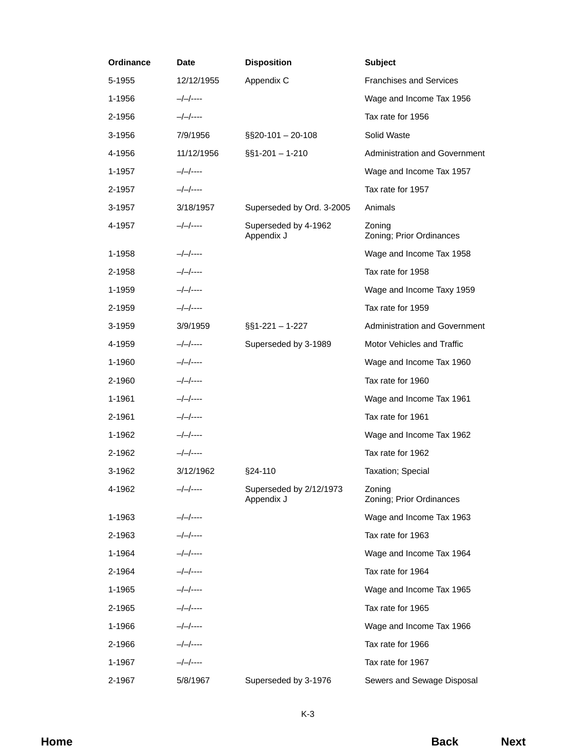| Ordinance | Date         | <b>Disposition</b>                    | <b>Subject</b>                       |
|-----------|--------------|---------------------------------------|--------------------------------------|
| 5-1955    | 12/12/1955   | Appendix C                            | <b>Franchises and Services</b>       |
| 1-1956    | $-/-/----$   |                                       | Wage and Income Tax 1956             |
| 2-1956    | $-/-/----$   |                                       | Tax rate for 1956                    |
| 3-1956    | 7/9/1956     | §§20-101 - 20-108                     | Solid Waste                          |
| 4-1956    | 11/12/1956   | $\S$ §1-201 - 1-210                   | <b>Administration and Government</b> |
| 1-1957    | $-/-/----$   |                                       | Wage and Income Tax 1957             |
| 2-1957    | $-/-/-$      |                                       | Tax rate for 1957                    |
| 3-1957    | 3/18/1957    | Superseded by Ord. 3-2005             | Animals                              |
| 4-1957    | $-/-/----$   | Superseded by 4-1962<br>Appendix J    | Zoning<br>Zoning; Prior Ordinances   |
| 1-1958    | $-/-/----$   |                                       | Wage and Income Tax 1958             |
| 2-1958    | $-/-/-$      |                                       | Tax rate for 1958                    |
| 1-1959    | $-/-/-$      |                                       | Wage and Income Taxy 1959            |
| 2-1959    | $-/-/-$      |                                       | Tax rate for 1959                    |
| 3-1959    | 3/9/1959     | $\S$ 51-221 - 1-227                   | <b>Administration and Government</b> |
| 4-1959    | $-/-/----$   | Superseded by 3-1989                  | Motor Vehicles and Traffic           |
| 1-1960    | $-/-/-$      |                                       | Wage and Income Tax 1960             |
| 2-1960    | $-/-/-$      |                                       | Tax rate for 1960                    |
| 1-1961    | $-/-/-$      |                                       | Wage and Income Tax 1961             |
| 2-1961    | $-/-/-$      |                                       | Tax rate for 1961                    |
| 1-1962    | $-/-/-$      |                                       | Wage and Income Tax 1962             |
| 2-1962    | $-/-/-$      |                                       | Tax rate for 1962                    |
| 3-1962    | 3/12/1962    | §24-110                               | Taxation; Special                    |
| 4-1962    | $-/-/----$   | Superseded by 2/12/1973<br>Appendix J | Zoning<br>Zoning; Prior Ordinances   |
| 1-1963    | $-/-/----$   |                                       | Wage and Income Tax 1963             |
| 2-1963    | $-/-/-$      |                                       | Tax rate for 1963                    |
| 1-1964    | $-/-/-$      |                                       | Wage and Income Tax 1964             |
| 2-1964    | $-/-/-$      |                                       | Tax rate for 1964                    |
| 1-1965    | $-/-/-$      |                                       | Wage and Income Tax 1965             |
| 2-1965    | $-/-/-$      |                                       | Tax rate for 1965                    |
| 1-1966    | $-/-/-$ ---- |                                       | Wage and Income Tax 1966             |
| 2-1966    | $-/-/-$      |                                       | Tax rate for 1966                    |
| 1-1967    | $-/-/-$      |                                       | Tax rate for 1967                    |
| 2-1967    | 5/8/1967     | Superseded by 3-1976                  | Sewers and Sewage Disposal           |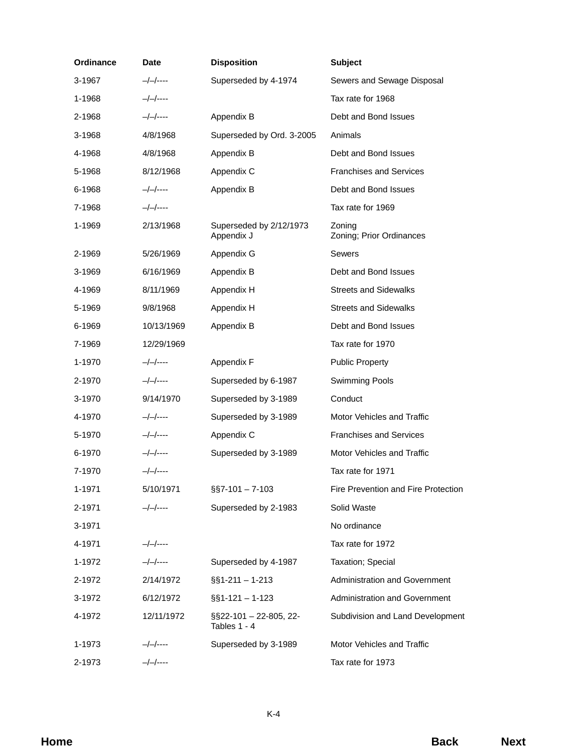| Ordinance | <b>Date</b>  | <b>Disposition</b>                     | <b>Subject</b>                       |
|-----------|--------------|----------------------------------------|--------------------------------------|
| 3-1967    | $-/-/----$   | Superseded by 4-1974                   | Sewers and Sewage Disposal           |
| 1-1968    | $-/-/----$   |                                        | Tax rate for 1968                    |
| 2-1968    | $-/-/----$   | Appendix B                             | Debt and Bond Issues                 |
| 3-1968    | 4/8/1968     | Superseded by Ord. 3-2005              | Animals                              |
| 4-1968    | 4/8/1968     | Appendix B                             | Debt and Bond Issues                 |
| 5-1968    | 8/12/1968    | Appendix C                             | <b>Franchises and Services</b>       |
| 6-1968    | $-/-/----$   | Appendix B                             | Debt and Bond Issues                 |
| 7-1968    | $-/-/-$ ---- |                                        | Tax rate for 1969                    |
| 1-1969    | 2/13/1968    | Superseded by 2/12/1973<br>Appendix J  | Zoning<br>Zoning; Prior Ordinances   |
| 2-1969    | 5/26/1969    | Appendix G                             | <b>Sewers</b>                        |
| 3-1969    | 6/16/1969    | Appendix B                             | Debt and Bond Issues                 |
| 4-1969    | 8/11/1969    | Appendix H                             | <b>Streets and Sidewalks</b>         |
| 5-1969    | 9/8/1968     | Appendix H                             | <b>Streets and Sidewalks</b>         |
| 6-1969    | 10/13/1969   | Appendix B                             | Debt and Bond Issues                 |
| 7-1969    | 12/29/1969   |                                        | Tax rate for 1970                    |
| 1-1970    | $-/-/----$   | Appendix F                             | <b>Public Property</b>               |
| 2-1970    | —/—/----     | Superseded by 6-1987                   | <b>Swimming Pools</b>                |
| 3-1970    | 9/14/1970    | Superseded by 3-1989                   | Conduct                              |
| 4-1970    | $-/-/----$   | Superseded by 3-1989                   | Motor Vehicles and Traffic           |
| 5-1970    | $-/-/----$   | Appendix C                             | <b>Franchises and Services</b>       |
| 6-1970    | $-/-/----$   | Superseded by 3-1989                   | Motor Vehicles and Traffic           |
| 7-1970    | $-/-/-$      |                                        | Tax rate for 1971                    |
| 1-1971    | 5/10/1971    | $\S$ S7-101 - 7-103                    | Fire Prevention and Fire Protection  |
| 2-1971    | $-/-/----$   | Superseded by 2-1983                   | Solid Waste                          |
| 3-1971    |              |                                        | No ordinance                         |
| 4-1971    | $-/-/----$   |                                        | Tax rate for 1972                    |
| 1-1972    | $-/-/-$      | Superseded by 4-1987                   | Taxation; Special                    |
| 2-1972    | 2/14/1972    | $\S$ 51-211 - 1-213                    | <b>Administration and Government</b> |
| 3-1972    | 6/12/1972    | $\S$ S1-121 - 1-123                    | Administration and Government        |
| 4-1972    | 12/11/1972   | §§22-101 - 22-805, 22-<br>Tables 1 - 4 | Subdivision and Land Development     |
| 1-1973    | $-/-/----$   | Superseded by 3-1989                   | Motor Vehicles and Traffic           |
| 2-1973    | $-/-/-$ ---- |                                        | Tax rate for 1973                    |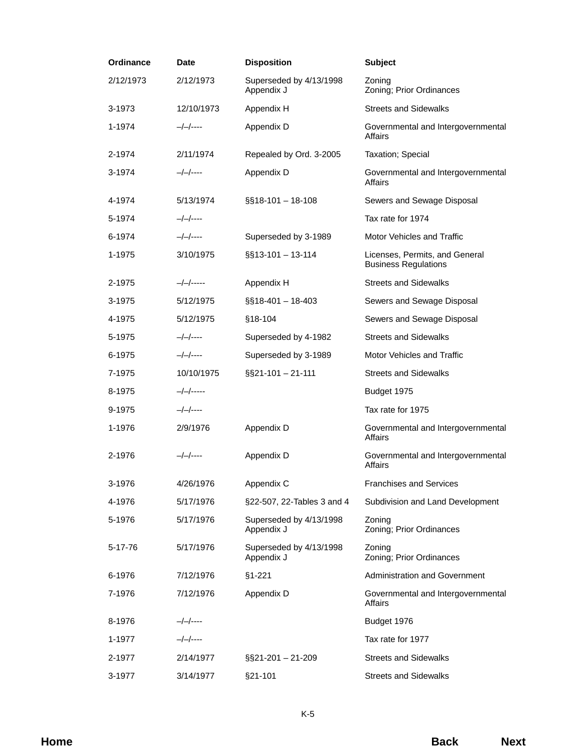| Ordinance | <b>Date</b>  | <b>Disposition</b>                    | <b>Subject</b>                                                |
|-----------|--------------|---------------------------------------|---------------------------------------------------------------|
| 2/12/1973 | 2/12/1973    | Superseded by 4/13/1998<br>Appendix J | Zoning<br>Zoning; Prior Ordinances                            |
| 3-1973    | 12/10/1973   | Appendix H                            | <b>Streets and Sidewalks</b>                                  |
| 1-1974    | $-/-/----$   | Appendix D                            | Governmental and Intergovernmental<br>Affairs                 |
| 2-1974    | 2/11/1974    | Repealed by Ord. 3-2005               | Taxation; Special                                             |
| 3-1974    | $-/-/----$   | Appendix D                            | Governmental and Intergovernmental<br>Affairs                 |
| 4-1974    | 5/13/1974    | $\S$ \$18-101 - 18-108                | Sewers and Sewage Disposal                                    |
| 5-1974    | $-/-/----$   |                                       | Tax rate for 1974                                             |
| 6-1974    | $-/-/----$   | Superseded by 3-1989                  | Motor Vehicles and Traffic                                    |
| 1-1975    | 3/10/1975    | $\S$ §13-101 - 13-114                 | Licenses, Permits, and General<br><b>Business Regulations</b> |
| 2-1975    | $-/-/----$   | Appendix H                            | <b>Streets and Sidewalks</b>                                  |
| 3-1975    | 5/12/1975    | §§18-401 - 18-403                     | Sewers and Sewage Disposal                                    |
| 4-1975    | 5/12/1975    | §18-104                               | Sewers and Sewage Disposal                                    |
| 5-1975    | $-/-/----$   | Superseded by 4-1982                  | <b>Streets and Sidewalks</b>                                  |
| 6-1975    | $-/-/-$ ---- | Superseded by 3-1989                  | Motor Vehicles and Traffic                                    |
| 7-1975    | 10/10/1975   | $\S$ \$21-101 - 21-111                | <b>Streets and Sidewalks</b>                                  |
| 8-1975    | $-/-/----$   |                                       | Budget 1975                                                   |
| 9-1975    | $-/-/-$ ---- |                                       | Tax rate for 1975                                             |
| 1-1976    | 2/9/1976     | Appendix D                            | Governmental and Intergovernmental<br>Affairs                 |
| 2-1976    | $-/-/----$   | Appendix D                            | Governmental and Intergovernmental<br>Affairs                 |
| 3-1976    | 4/26/1976    | Appendix C                            | <b>Franchises and Services</b>                                |
| 4-1976    | 5/17/1976    | §22-507, 22-Tables 3 and 4            | Subdivision and Land Development                              |
| 5-1976    | 5/17/1976    | Superseded by 4/13/1998<br>Appendix J | Zoning<br>Zoning; Prior Ordinances                            |
| 5-17-76   | 5/17/1976    | Superseded by 4/13/1998<br>Appendix J | Zoning<br>Zoning; Prior Ordinances                            |
| 6-1976    | 7/12/1976    | $§1 - 221$                            | Administration and Government                                 |
| 7-1976    | 7/12/1976    | Appendix D                            | Governmental and Intergovernmental<br>Affairs                 |
| 8-1976    | —/—/----     |                                       | Budget 1976                                                   |
| 1-1977    | $-/-/----$   |                                       | Tax rate for 1977                                             |
| 2-1977    | 2/14/1977    | §§21-201 - 21-209                     | <b>Streets and Sidewalks</b>                                  |
| 3-1977    | 3/14/1977    | §21-101                               | <b>Streets and Sidewalks</b>                                  |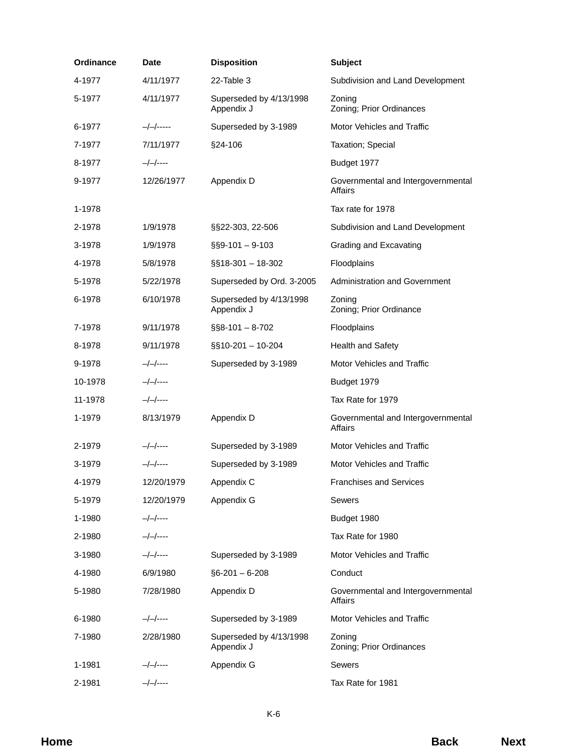| Ordinance | Date       | <b>Disposition</b>                    | <b>Subject</b>                                       |
|-----------|------------|---------------------------------------|------------------------------------------------------|
| 4-1977    | 4/11/1977  | 22-Table 3                            | Subdivision and Land Development                     |
| 5-1977    | 4/11/1977  | Superseded by 4/13/1998<br>Appendix J | Zoning<br>Zoning; Prior Ordinances                   |
| 6-1977    | —/—/-----  | Superseded by 3-1989                  | Motor Vehicles and Traffic                           |
| 7-1977    | 7/11/1977  | §24-106                               | Taxation; Special                                    |
| 8-1977    | $-/-/----$ |                                       | Budget 1977                                          |
| 9-1977    | 12/26/1977 | Appendix D                            | Governmental and Intergovernmental<br><b>Affairs</b> |
| 1-1978    |            |                                       | Tax rate for 1978                                    |
| 2-1978    | 1/9/1978   | §§22-303, 22-506                      | Subdivision and Land Development                     |
| 3-1978    | 1/9/1978   | $\S$ §9-101 - 9-103                   | Grading and Excavating                               |
| 4-1978    | 5/8/1978   | $\S$ 518-301 - 18-302                 | Floodplains                                          |
| 5-1978    | 5/22/1978  | Superseded by Ord. 3-2005             | <b>Administration and Government</b>                 |
| 6-1978    | 6/10/1978  | Superseded by 4/13/1998<br>Appendix J | Zoning<br>Zoning; Prior Ordinance                    |
| 7-1978    | 9/11/1978  | $\S$ §8-101 - 8-702                   | Floodplains                                          |
| 8-1978    | 9/11/1978  | §§10-201 - 10-204                     | Health and Safety                                    |
| 9-1978    | $-/-/----$ | Superseded by 3-1989                  | Motor Vehicles and Traffic                           |
| 10-1978   | $-/-/----$ |                                       | Budget 1979                                          |
| 11-1978   | $-/-/----$ |                                       | Tax Rate for 1979                                    |
| 1-1979    | 8/13/1979  | Appendix D                            | Governmental and Intergovernmental<br>Affairs        |
| 2-1979    | —/—/----   | Superseded by 3-1989                  | Motor Vehicles and Traffic                           |
| 3-1979    | —/—/----   | Superseded by 3-1989                  | Motor Vehicles and Traffic                           |
| 4-1979    | 12/20/1979 | Appendix C                            | <b>Franchises and Services</b>                       |
| 5-1979    | 12/20/1979 | Appendix G                            | <b>Sewers</b>                                        |
| 1-1980    | —/—/----   |                                       | Budget 1980                                          |
| 2-1980    | $-/-/----$ |                                       | Tax Rate for 1980                                    |
| 3-1980    | $-/-/----$ | Superseded by 3-1989                  | Motor Vehicles and Traffic                           |
| 4-1980    | 6/9/1980   | $§6 - 201 - 6 - 208$                  | Conduct                                              |
| 5-1980    | 7/28/1980  | Appendix D                            | Governmental and Intergovernmental<br><b>Affairs</b> |
| 6-1980    | —/—/----   | Superseded by 3-1989                  | Motor Vehicles and Traffic                           |
| 7-1980    | 2/28/1980  | Superseded by 4/13/1998<br>Appendix J | Zoning<br>Zoning; Prior Ordinances                   |
| 1-1981    | —/—/----   | Appendix G                            | <b>Sewers</b>                                        |
| 2-1981    | $-/-/----$ |                                       | Tax Rate for 1981                                    |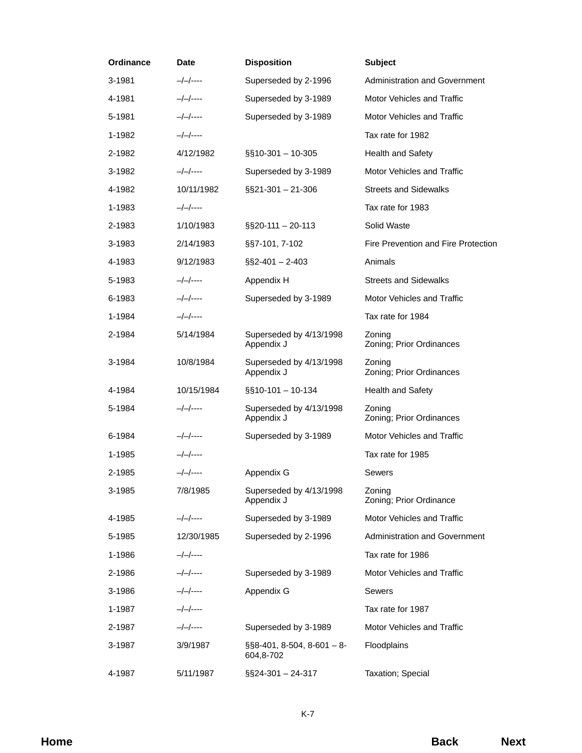| <b>Ordinance</b> | <b>Date</b>  | <b>Disposition</b>                          | <b>Subject</b>                       |  |
|------------------|--------------|---------------------------------------------|--------------------------------------|--|
| 3-1981           | $-/-/----$   | Superseded by 2-1996                        | Administration and Government        |  |
| 4-1981           | $-/-/-$      | Superseded by 3-1989                        | Motor Vehicles and Traffic           |  |
| 5-1981           | $-/-/----$   | Superseded by 3-1989                        | Motor Vehicles and Traffic           |  |
| 1-1982           | $-/-/-$      |                                             | Tax rate for 1982                    |  |
| 2-1982           | 4/12/1982    | §§10-301 - 10-305                           | Health and Safety                    |  |
| 3-1982           | $-/-/----$   | Superseded by 3-1989                        | Motor Vehicles and Traffic           |  |
| 4-1982           | 10/11/1982   | §§21-301 - 21-306                           | <b>Streets and Sidewalks</b>         |  |
| 1-1983           | $-/-/----$   |                                             | Tax rate for 1983                    |  |
| 2-1983           | 1/10/1983    | §§20-111 - 20-113                           | Solid Waste                          |  |
| 3-1983           | 2/14/1983    | §§7-101, 7-102                              | Fire Prevention and Fire Protection  |  |
| 4-1983           | 9/12/1983    | $\S$ S2-401 - 2-403                         | Animals                              |  |
| 5-1983           | —/—/----     | Appendix H                                  | <b>Streets and Sidewalks</b>         |  |
| 6-1983           | $-/-/-$ ---- | Superseded by 3-1989                        | Motor Vehicles and Traffic           |  |
| 1-1984           | $-/-/-$      |                                             | Tax rate for 1984                    |  |
| 2-1984           | 5/14/1984    | Superseded by 4/13/1998<br>Appendix J       | Zoning<br>Zoning; Prior Ordinances   |  |
| 3-1984           | 10/8/1984    | Superseded by 4/13/1998<br>Appendix J       | Zoning<br>Zoning; Prior Ordinances   |  |
| 4-1984           | 10/15/1984   | $\S$ §10-101 - 10-134                       | Health and Safety                    |  |
| 5-1984           | $-/-/----$   | Superseded by 4/13/1998<br>Appendix J       | Zoning<br>Zoning; Prior Ordinances   |  |
| 6-1984           | $-/-/----$   | Superseded by 3-1989                        | Motor Vehicles and Traffic           |  |
| 1-1985           | $-/-/----$   |                                             | Tax rate for 1985                    |  |
| 2-1985           | $-/-/-$ ---- | Appendix G                                  | Sewers                               |  |
| 3-1985           | 7/8/1985     | Superseded by 4/13/1998<br>Appendix J       | Zoning<br>Zoning; Prior Ordinance    |  |
| 4-1985           | $-/-/----$   | Superseded by 3-1989                        | Motor Vehicles and Traffic           |  |
| 5-1985           | 12/30/1985   | Superseded by 2-1996                        | <b>Administration and Government</b> |  |
| 1-1986           | —/—/----     |                                             | Tax rate for 1986                    |  |
| 2-1986           | $-/-/-$      | Superseded by 3-1989                        | Motor Vehicles and Traffic           |  |
| 3-1986           | $-/-/----$   | Appendix G                                  | Sewers                               |  |
| 1-1987           | $-/-/----$   |                                             | Tax rate for 1987                    |  |
| 2-1987           | —/—/----     | Superseded by 3-1989                        | Motor Vehicles and Traffic           |  |
| 3-1987           | 3/9/1987     | $\S$ §8-401, 8-504, 8-601 - 8-<br>604,8-702 | Floodplains                          |  |
| 4-1987           | 5/11/1987    | §§24-301 - 24-317                           | Taxation; Special                    |  |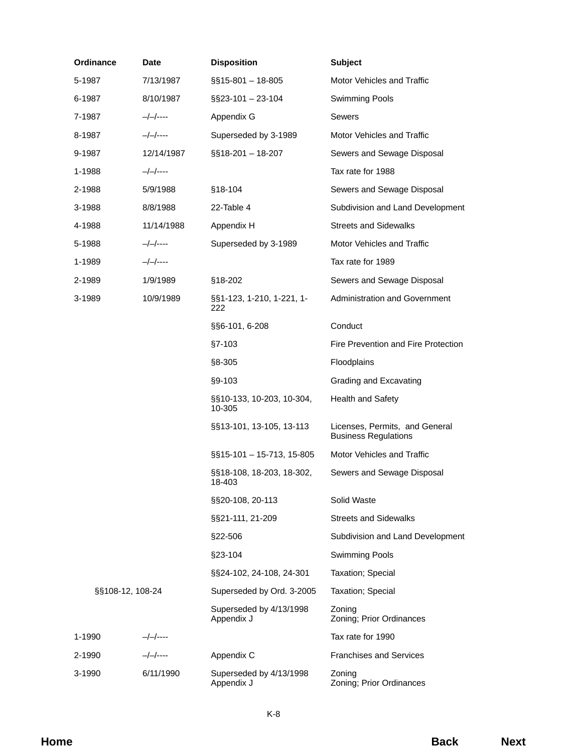| Ordinance        | Date       | <b>Disposition</b>                    | <b>Subject</b>                                                |
|------------------|------------|---------------------------------------|---------------------------------------------------------------|
| 5-1987           | 7/13/1987  | $\S$ \$15-801 - 18-805                | Motor Vehicles and Traffic                                    |
| 6-1987           | 8/10/1987  | $\S$ S23-101 - 23-104                 | <b>Swimming Pools</b>                                         |
| 7-1987           | $-/-/----$ | Appendix G                            | <b>Sewers</b>                                                 |
| 8-1987           | $-/-/----$ | Superseded by 3-1989                  | Motor Vehicles and Traffic                                    |
| 9-1987           | 12/14/1987 | §§18-201 - 18-207                     | Sewers and Sewage Disposal                                    |
| 1-1988           | $-/-/----$ |                                       | Tax rate for 1988                                             |
| 2-1988           | 5/9/1988   | $§18-104$                             | Sewers and Sewage Disposal                                    |
| 3-1988           | 8/8/1988   | 22-Table 4                            | Subdivision and Land Development                              |
| 4-1988           | 11/14/1988 | Appendix H                            | <b>Streets and Sidewalks</b>                                  |
| 5-1988           | —/—/----   | Superseded by 3-1989                  | Motor Vehicles and Traffic                                    |
| 1-1989           | $-/-/----$ |                                       | Tax rate for 1989                                             |
| 2-1989           | 1/9/1989   | $§18-202$                             | Sewers and Sewage Disposal                                    |
| 3-1989           | 10/9/1989  | §§1-123, 1-210, 1-221, 1-<br>222      | <b>Administration and Government</b>                          |
|                  |            | §§6-101, 6-208                        | Conduct                                                       |
|                  |            | $§7 - 103$                            | Fire Prevention and Fire Protection                           |
|                  |            | §8-305                                | Floodplains                                                   |
|                  |            | §9-103                                | Grading and Excavating                                        |
|                  |            | §§10-133, 10-203, 10-304,<br>10-305   | Health and Safety                                             |
|                  |            | §§13-101, 13-105, 13-113              | Licenses, Permits, and General<br><b>Business Regulations</b> |
|                  |            | $\S$ \$15-101 - 15-713, 15-805        | Motor Vehicles and Traffic                                    |
|                  |            | §§18-108, 18-203, 18-302,<br>18-403   | Sewers and Sewage Disposal                                    |
|                  |            | §§20-108, 20-113                      | Solid Waste                                                   |
|                  |            | §§21-111, 21-209                      | <b>Streets and Sidewalks</b>                                  |
|                  |            | §22-506                               | Subdivision and Land Development                              |
|                  |            | §23-104                               | <b>Swimming Pools</b>                                         |
|                  |            | §§24-102, 24-108, 24-301              | Taxation; Special                                             |
| §§108-12, 108-24 |            | Superseded by Ord. 3-2005             | Taxation; Special                                             |
|                  |            | Superseded by 4/13/1998<br>Appendix J | Zoning<br>Zoning; Prior Ordinances                            |
| 1-1990           | —/—/----   |                                       | Tax rate for 1990                                             |
| 2-1990           | $-/-/----$ | Appendix C                            | <b>Franchises and Services</b>                                |
| 3-1990           | 6/11/1990  | Superseded by 4/13/1998<br>Appendix J | Zoning<br>Zoning; Prior Ordinances                            |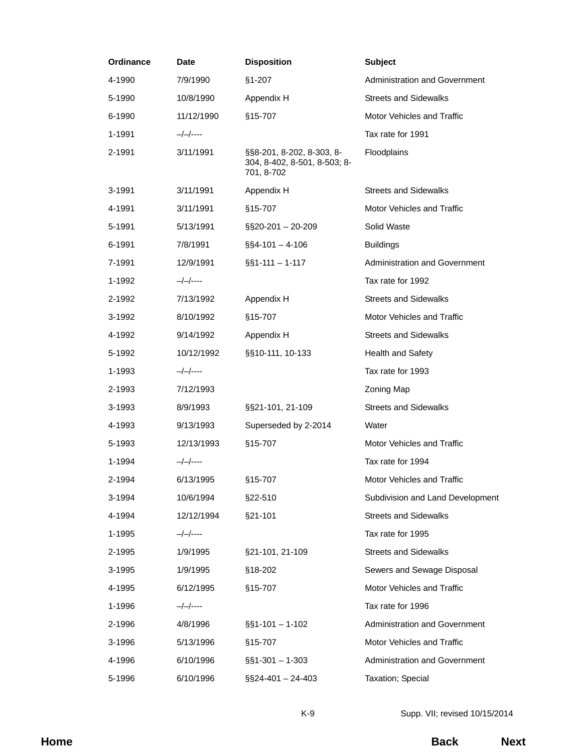| Ordinance | <b>Date</b> | <b>Disposition</b>                                                      | <b>Subject</b>                       |  |
|-----------|-------------|-------------------------------------------------------------------------|--------------------------------------|--|
| 4-1990    | 7/9/1990    | $§1 - 207$                                                              | <b>Administration and Government</b> |  |
| 5-1990    | 10/8/1990   | Appendix H                                                              | <b>Streets and Sidewalks</b>         |  |
| 6-1990    | 11/12/1990  | §15-707                                                                 | Motor Vehicles and Traffic           |  |
| 1-1991    | $-/-/----$  |                                                                         | Tax rate for 1991                    |  |
| 2-1991    | 3/11/1991   | §§8-201, 8-202, 8-303, 8-<br>304, 8-402, 8-501, 8-503; 8-<br>701, 8-702 | Floodplains                          |  |
| 3-1991    | 3/11/1991   | Appendix H                                                              | <b>Streets and Sidewalks</b>         |  |
| 4-1991    | 3/11/1991   | §15-707                                                                 | Motor Vehicles and Traffic           |  |
| 5-1991    | 5/13/1991   | §§20-201 - 20-209                                                       | Solid Waste                          |  |
| 6-1991    | 7/8/1991    | $\S$ \$4-101 - 4-106                                                    | <b>Buildings</b>                     |  |
| 7-1991    | 12/9/1991   | $\S$ 51-111 - 1-117                                                     | <b>Administration and Government</b> |  |
| 1-1992    | —/—/----    |                                                                         | Tax rate for 1992                    |  |
| 2-1992    | 7/13/1992   | Appendix H                                                              | <b>Streets and Sidewalks</b>         |  |
| 3-1992    | 8/10/1992   | §15-707                                                                 | Motor Vehicles and Traffic           |  |
| 4-1992    | 9/14/1992   | Appendix H                                                              | <b>Streets and Sidewalks</b>         |  |
| 5-1992    | 10/12/1992  | §§10-111, 10-133                                                        | Health and Safety                    |  |
| 1-1993    | —/—/----    |                                                                         | Tax rate for 1993                    |  |
| 2-1993    | 7/12/1993   |                                                                         | Zoning Map                           |  |
| 3-1993    | 8/9/1993    | §§21-101, 21-109                                                        | <b>Streets and Sidewalks</b>         |  |
| 4-1993    | 9/13/1993   | Superseded by 2-2014                                                    | Water                                |  |
| 5-1993    | 12/13/1993  | §15-707                                                                 | Motor Vehicles and Traffic           |  |
| 1-1994    | $-/-/----$  |                                                                         | Tax rate for 1994                    |  |
| 2-1994    | 6/13/1995   | §15-707                                                                 | Motor Vehicles and Traffic           |  |
| 3-1994    | 10/6/1994   | §22-510                                                                 | Subdivision and Land Development     |  |
| 4-1994    | 12/12/1994  | §21-101                                                                 | <b>Streets and Sidewalks</b>         |  |
| 1-1995    | $-/-/----$  |                                                                         | Tax rate for 1995                    |  |
| 2-1995    | 1/9/1995    | §21-101, 21-109                                                         | <b>Streets and Sidewalks</b>         |  |
| 3-1995    | 1/9/1995    | §18-202                                                                 | Sewers and Sewage Disposal           |  |
| 4-1995    | 6/12/1995   | §15-707                                                                 | Motor Vehicles and Traffic           |  |
| 1-1996    | $-/-/----$  |                                                                         | Tax rate for 1996                    |  |
| 2-1996    | 4/8/1996    | $\S$ 51-101 - 1-102                                                     | Administration and Government        |  |
| 3-1996    | 5/13/1996   | §15-707                                                                 | Motor Vehicles and Traffic           |  |
| 4-1996    | 6/10/1996   | $\S$ §1-301 - 1-303                                                     | Administration and Government        |  |
| 5-1996    | 6/10/1996   | §§24-401 - 24-403                                                       | Taxation; Special                    |  |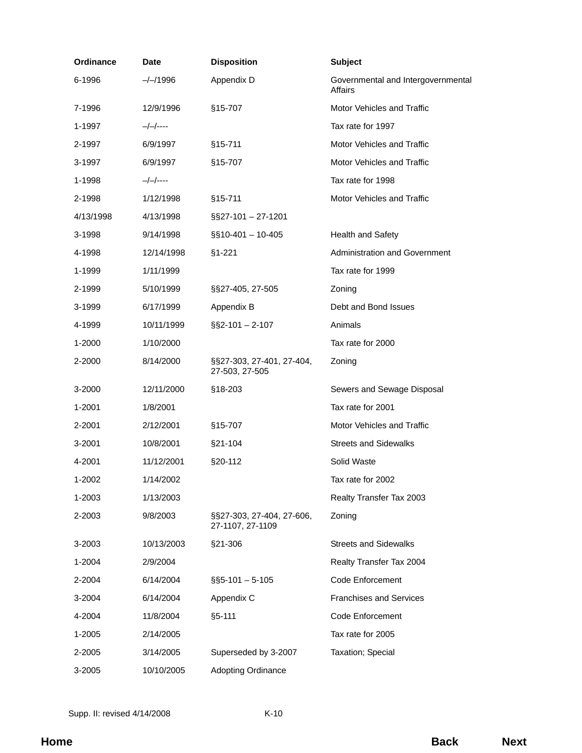| Ordinance | Date       | <b>Disposition</b>                            | <b>Subject</b>                                |
|-----------|------------|-----------------------------------------------|-----------------------------------------------|
| 6-1996    | $-/-/1996$ | Appendix D                                    | Governmental and Intergovernmental<br>Affairs |
| 7-1996    | 12/9/1996  | §15-707                                       | Motor Vehicles and Traffic                    |
| 1-1997    | —/—/----   |                                               | Tax rate for 1997                             |
| 2-1997    | 6/9/1997   | §15-711                                       | Motor Vehicles and Traffic                    |
| 3-1997    | 6/9/1997   | §15-707                                       | Motor Vehicles and Traffic                    |
| 1-1998    | —/—/----   |                                               | Tax rate for 1998                             |
| 2-1998    | 1/12/1998  | $§15 - 711$                                   | <b>Motor Vehicles and Traffic</b>             |
| 4/13/1998 | 4/13/1998  | $\S$ S27-101 - 27-1201                        |                                               |
| 3-1998    | 9/14/1998  | $\S$ \$10-401 - 10-405                        | <b>Health and Safety</b>                      |
| 4-1998    | 12/14/1998 | $$1-221$                                      | Administration and Government                 |
| 1-1999    | 1/11/1999  |                                               | Tax rate for 1999                             |
| 2-1999    | 5/10/1999  | §§27-405, 27-505                              | Zoning                                        |
| 3-1999    | 6/17/1999  | Appendix B                                    | Debt and Bond Issues                          |
| 4-1999    | 10/11/1999 | $\S$ S2-101 - 2-107                           | Animals                                       |
| 1-2000    | 1/10/2000  |                                               | Tax rate for 2000                             |
| 2-2000    | 8/14/2000  | §§27-303, 27-401, 27-404,<br>27-503, 27-505   | Zoning                                        |
| 3-2000    | 12/11/2000 | §18-203                                       | Sewers and Sewage Disposal                    |
| 1-2001    | 1/8/2001   |                                               | Tax rate for 2001                             |
| 2-2001    | 2/12/2001  | §15-707                                       | Motor Vehicles and Traffic                    |
| 3-2001    | 10/8/2001  | §21-104                                       | <b>Streets and Sidewalks</b>                  |
| 4-2001    | 11/12/2001 | §20-112                                       | Solid Waste                                   |
| 1-2002    | 1/14/2002  |                                               | Tax rate for 2002                             |
| 1-2003    | 1/13/2003  |                                               | Realty Transfer Tax 2003                      |
| 2-2003    | 9/8/2003   | §§27-303, 27-404, 27-606,<br>27-1107, 27-1109 | Zoning                                        |
| 3-2003    | 10/13/2003 | §21-306                                       | <b>Streets and Sidewalks</b>                  |
| 1-2004    | 2/9/2004   |                                               | Realty Transfer Tax 2004                      |
| 2-2004    | 6/14/2004  | $\S$ §5-101 - 5-105                           | Code Enforcement                              |
| 3-2004    | 6/14/2004  | Appendix C                                    | <b>Franchises and Services</b>                |
| 4-2004    | 11/8/2004  | $§5 - 111$                                    | Code Enforcement                              |
| 1-2005    | 2/14/2005  |                                               | Tax rate for 2005                             |
| 2-2005    | 3/14/2005  | Superseded by 3-2007                          | Taxation; Special                             |
| 3-2005    | 10/10/2005 | <b>Adopting Ordinance</b>                     |                                               |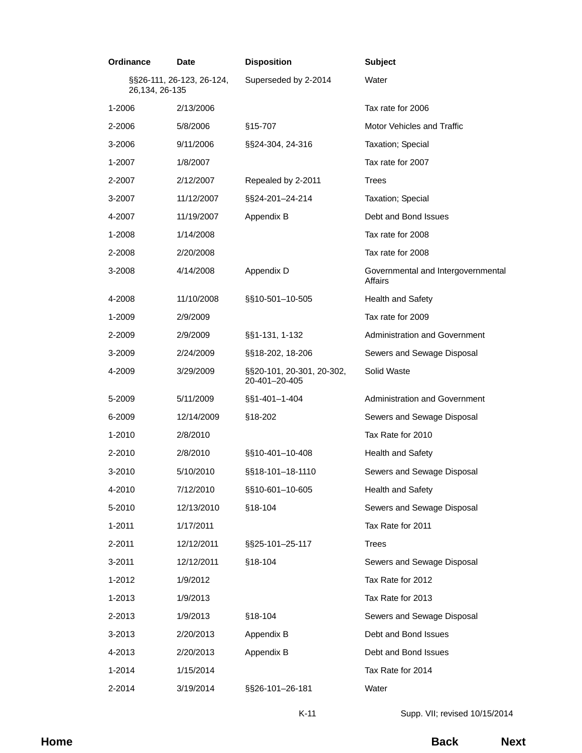| Ordinance                                   | <b>Date</b> | <b>Disposition</b>                         | <b>Subject</b>                                |
|---------------------------------------------|-------------|--------------------------------------------|-----------------------------------------------|
| §§26-111, 26-123, 26-124,<br>26,134, 26-135 |             | Superseded by 2-2014                       | Water                                         |
| 1-2006                                      | 2/13/2006   |                                            | Tax rate for 2006                             |
| 2-2006                                      | 5/8/2006    | §15-707                                    | Motor Vehicles and Traffic                    |
| 3-2006                                      | 9/11/2006   | §§24-304, 24-316                           | Taxation; Special                             |
| 1-2007                                      | 1/8/2007    |                                            | Tax rate for 2007                             |
| 2-2007                                      | 2/12/2007   | Repealed by 2-2011                         | <b>Trees</b>                                  |
| 3-2007                                      | 11/12/2007  | §§24-201-24-214                            | Taxation; Special                             |
| 4-2007                                      | 11/19/2007  | Appendix B                                 | Debt and Bond Issues                          |
| 1-2008                                      | 1/14/2008   |                                            | Tax rate for 2008                             |
| 2-2008                                      | 2/20/2008   |                                            | Tax rate for 2008                             |
| 3-2008                                      | 4/14/2008   | Appendix D                                 | Governmental and Intergovernmental<br>Affairs |
| 4-2008                                      | 11/10/2008  | §§10-501-10-505                            | <b>Health and Safety</b>                      |
| 1-2009                                      | 2/9/2009    |                                            | Tax rate for 2009                             |
| 2-2009                                      | 2/9/2009    | §§1-131, 1-132                             | Administration and Government                 |
| 3-2009                                      | 2/24/2009   | §§18-202, 18-206                           | Sewers and Sewage Disposal                    |
| 4-2009                                      | 3/29/2009   | §§20-101, 20-301, 20-302,<br>20-401-20-405 | Solid Waste                                   |
| 5-2009                                      | 5/11/2009   | §§1-401-1-404                              | Administration and Government                 |
| 6-2009                                      | 12/14/2009  | §18-202                                    | Sewers and Sewage Disposal                    |
| 1-2010                                      | 2/8/2010    |                                            | Tax Rate for 2010                             |
| 2-2010                                      | 2/8/2010    | §§10-401-10-408                            | <b>Health and Safety</b>                      |
| 3-2010                                      | 5/10/2010   | §§18-101-18-1110                           | Sewers and Sewage Disposal                    |
| 4-2010                                      | 7/12/2010   | §§10-601-10-605                            | Health and Safety                             |
| 5-2010                                      | 12/13/2010  | §18-104                                    | Sewers and Sewage Disposal                    |
| 1-2011                                      | 1/17/2011   |                                            | Tax Rate for 2011                             |
| 2-2011                                      | 12/12/2011  | §§25-101-25-117                            | <b>Trees</b>                                  |
| 3-2011                                      | 12/12/2011  | §18-104                                    | Sewers and Sewage Disposal                    |
| 1-2012                                      | 1/9/2012    |                                            | Tax Rate for 2012                             |
| 1-2013                                      | 1/9/2013    |                                            | Tax Rate for 2013                             |
| 2-2013                                      | 1/9/2013    | §18-104                                    | Sewers and Sewage Disposal                    |
| 3-2013                                      | 2/20/2013   | Appendix B                                 | Debt and Bond Issues                          |
| 4-2013                                      | 2/20/2013   | Appendix B                                 | Debt and Bond Issues                          |
| 1-2014                                      | 1/15/2014   |                                            | Tax Rate for 2014                             |
| 2-2014                                      | 3/19/2014   | §§26-101-26-181                            | Water                                         |